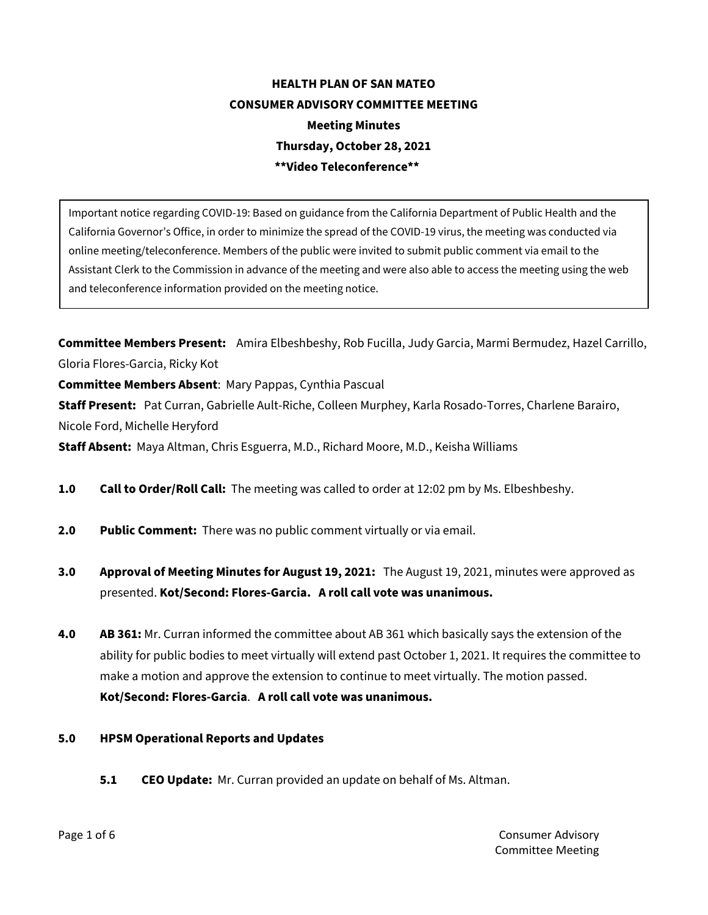# **HEALTH PLAN OF SAN MATEO CONSUMER ADVISORY COMMITTEE MEETING Meeting Minutes Thursday, October 28, 2021 \*\*Video Teleconference\*\***

Important notice regarding COVID-19: Based on guidance from the California Department of Public Health and the California Governor's Office, in order to minimize the spread of the COVID-19 virus, the meeting was conducted via online meeting/teleconference. Members of the public were invited to submit public comment via email to the Assistant Clerk to the Commission in advance of the meeting and were also able to access the meeting using the web and teleconference information provided on the meeting notice.

**Committee Members Present:** Amira Elbeshbeshy, Rob Fucilla, Judy Garcia, Marmi Bermudez, Hazel Carrillo, Gloria Flores-Garcia, Ricky Kot

**Committee Members Absent**: Mary Pappas, Cynthia Pascual

**Staff Present:** Pat Curran, Gabrielle Ault-Riche, Colleen Murphey, Karla Rosado-Torres, Charlene Barairo, Nicole Ford, Michelle Heryford

**Staff Absent:** Maya Altman, Chris Esguerra, M.D., Richard Moore, M.D., Keisha Williams

- **1.0 Call to Order/Roll Call:** The meeting was called to order at 12:02 pm by Ms. Elbeshbeshy.
- **2.0 Public Comment:** There was no public comment virtually or via email.
- **3.0 Approval of Meeting Minutes for August 19, 2021:** The August 19, 2021, minutes were approved as presented. **Kot/Second: Flores-Garcia. A roll call vote was unanimous.**
- **4.0 AB 361:** Mr. Curran informed the committee about AB 361 which basically says the extension of the ability for public bodies to meet virtually will extend past October 1, 2021. It requires the committee to make a motion and approve the extension to continue to meet virtually. The motion passed. **Kot/Second: Flores-Garcia**. **A roll call vote was unanimous.**

#### **5.0 HPSM Operational Reports and Updates**

**5.1 CEO Update:** Mr. Curran provided an update on behalf of Ms. Altman.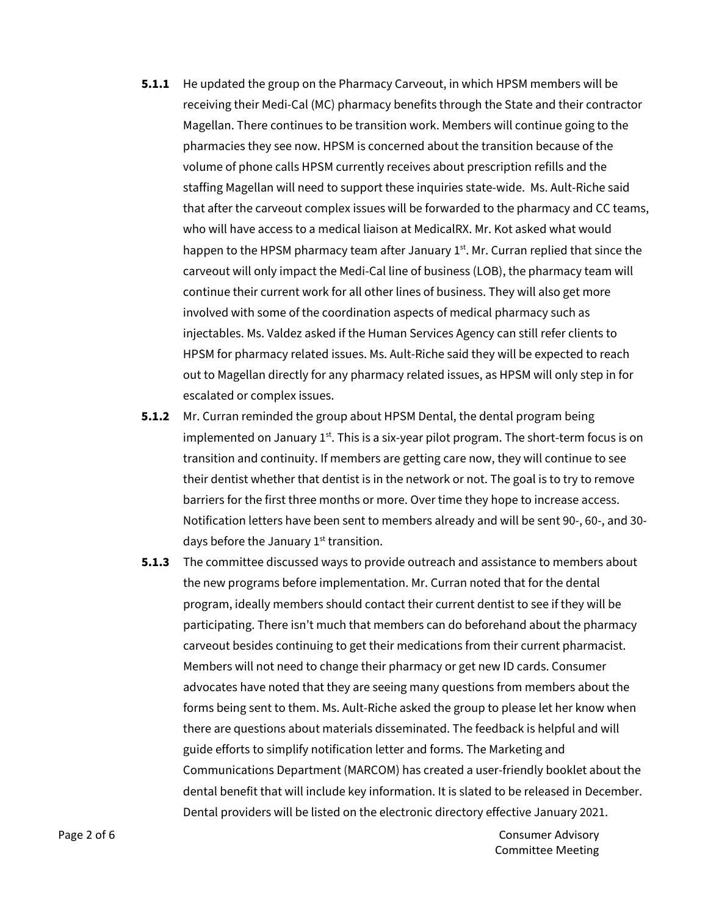- **5.1.1** He updated the group on the Pharmacy Carveout, in which HPSM members will be receiving their Medi-Cal (MC) pharmacy benefits through the State and their contractor Magellan. There continues to be transition work. Members will continue going to the pharmacies they see now. HPSM is concerned about the transition because of the volume of phone calls HPSM currently receives about prescription refills and the staffing Magellan will need to support these inquiries state-wide. Ms. Ault-Riche said that after the carveout complex issues will be forwarded to the pharmacy and CC teams, who will have access to a medical liaison at MedicalRX. Mr. Kot asked what would happen to the HPSM pharmacy team after January  $1<sup>st</sup>$ . Mr. Curran replied that since the carveout will only impact the Medi-Cal line of business (LOB), the pharmacy team will continue their current work for all other lines of business. They will also get more involved with some of the coordination aspects of medical pharmacy such as injectables. Ms. Valdez asked if the Human Services Agency can still refer clients to HPSM for pharmacy related issues. Ms. Ault-Riche said they will be expected to reach out to Magellan directly for any pharmacy related issues, as HPSM will only step in for escalated or complex issues.
- **5.1.2** Mr. Curran reminded the group about HPSM Dental, the dental program being implemented on January  $1<sup>st</sup>$ . This is a six-year pilot program. The short-term focus is on transition and continuity. If members are getting care now, they will continue to see their dentist whether that dentist is in the network or not. The goal is to try to remove barriers for the first three months or more. Over time they hope to increase access. Notification letters have been sent to members already and will be sent 90-, 60-, and 30 days before the January  $1<sup>st</sup>$  transition.
- **5.1.3** The committee discussed ways to provide outreach and assistance to members about the new programs before implementation. Mr. Curran noted that for the dental program, ideally members should contact their current dentist to see if they will be participating. There isn't much that members can do beforehand about the pharmacy carveout besides continuing to get their medications from their current pharmacist. Members will not need to change their pharmacy or get new ID cards. Consumer advocates have noted that they are seeing many questions from members about the forms being sent to them. Ms. Ault-Riche asked the group to please let her know when there are questions about materials disseminated. The feedback is helpful and will guide efforts to simplify notification letter and forms. The Marketing and Communications Department (MARCOM) has created a user-friendly booklet about the dental benefit that will include key information. It is slated to be released in December. Dental providers will be listed on the electronic directory effective January 2021.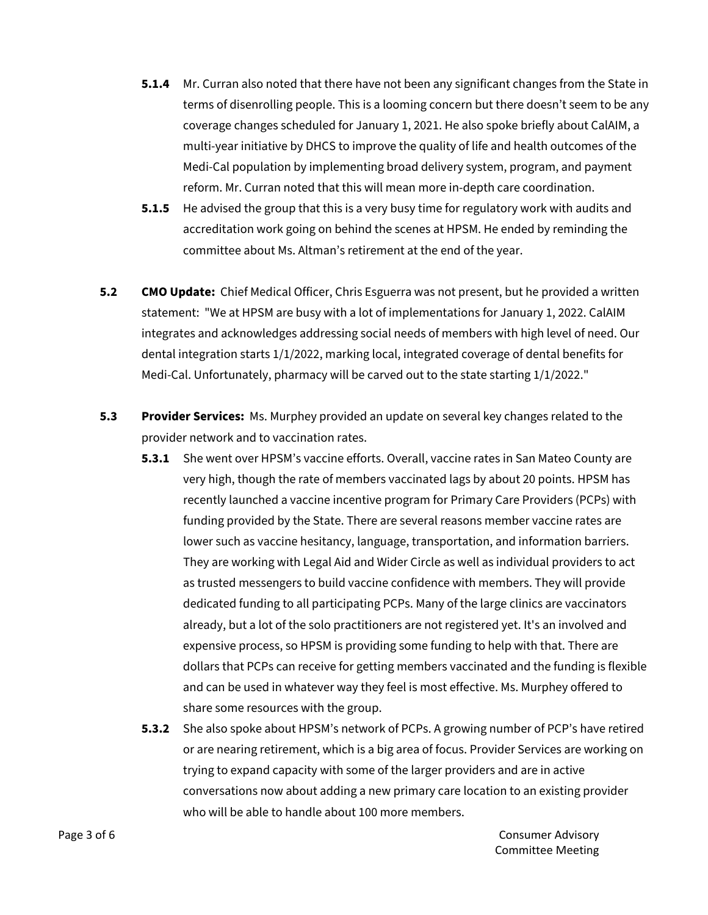- **5.1.4** Mr. Curran also noted that there have not been any significant changes from the State in terms of disenrolling people. This is a looming concern but there doesn't seem to be any coverage changes scheduled for January 1, 2021. He also spoke briefly about CalAIM, a multi-year initiative by DHCS to improve the quality of life and health outcomes of the Medi-Cal population by implementing broad delivery system, program, and payment reform. Mr. Curran noted that this will mean more in-depth care coordination.
- **5.1.5** He advised the group that this is a very busy time for regulatory work with audits and accreditation work going on behind the scenes at HPSM. He ended by reminding the committee about Ms. Altman's retirement at the end of the year.
- **5.2 CMO Update:** Chief Medical Officer, Chris Esguerra was not present, but he provided a written statement: "We at HPSM are busy with a lot of implementations for January 1, 2022. CalAIM integrates and acknowledges addressing social needs of members with high level of need. Our dental integration starts 1/1/2022, marking local, integrated coverage of dental benefits for Medi-Cal. Unfortunately, pharmacy will be carved out to the state starting 1/1/2022."
- **5.3 Provider Services:** Ms. Murphey provided an update on several key changes related to the provider network and to vaccination rates.
	- **5.3.1** She went over HPSM's vaccine efforts. Overall, vaccine rates in San Mateo County are very high, though the rate of members vaccinated lags by about 20 points. HPSM has recently launched a vaccine incentive program for Primary Care Providers (PCPs) with funding provided by the State. There are several reasons member vaccine rates are lower such as vaccine hesitancy, language, transportation, and information barriers. They are working with Legal Aid and Wider Circle as well as individual providers to act as trusted messengers to build vaccine confidence with members. They will provide dedicated funding to all participating PCPs. Many of the large clinics are vaccinators already, but a lot of the solo practitioners are not registered yet. It's an involved and expensive process, so HPSM is providing some funding to help with that. There are dollars that PCPs can receive for getting members vaccinated and the funding is flexible and can be used in whatever way they feel is most effective. Ms. Murphey offered to share some resources with the group.
	- **5.3.2** She also spoke about HPSM's network of PCPs. A growing number of PCP's have retired or are nearing retirement, which is a big area of focus. Provider Services are working on trying to expand capacity with some of the larger providers and are in active conversations now about adding a new primary care location to an existing provider who will be able to handle about 100 more members.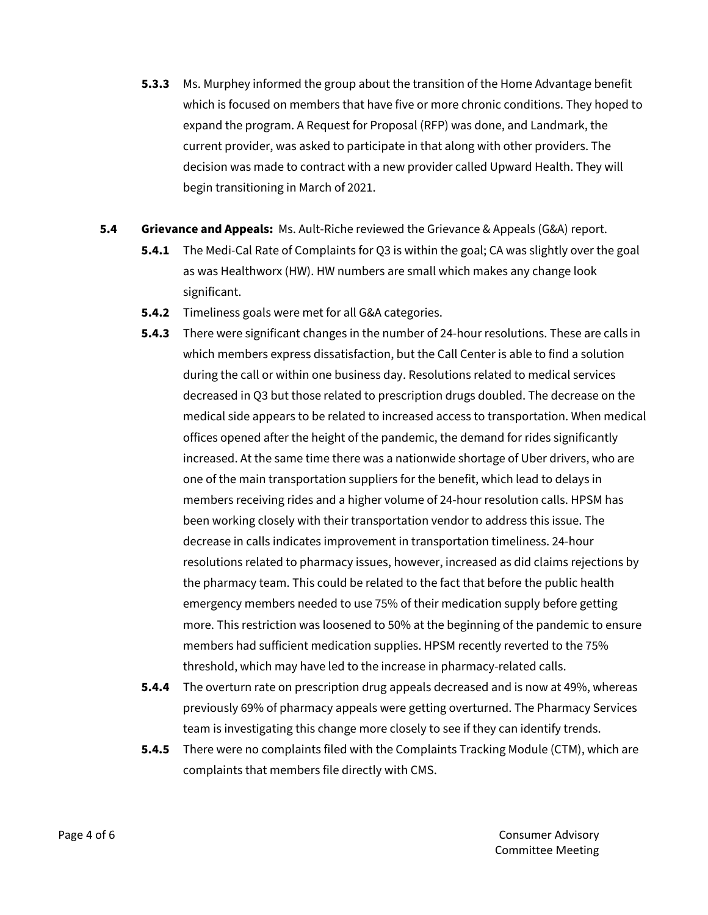- **5.3.3** Ms. Murphey informed the group about the transition of the Home Advantage benefit which is focused on members that have five or more chronic conditions. They hoped to expand the program. A Request for Proposal (RFP) was done, and Landmark, the current provider, was asked to participate in that along with other providers. The decision was made to contract with a new provider called Upward Health. They will begin transitioning in March of 2021.
- **5.4 Grievance and Appeals:** Ms. Ault-Riche reviewed the Grievance & Appeals (G&A) report.
	- **5.4.1** The Medi-Cal Rate of Complaints for Q3 is within the goal; CA was slightly over the goal as was Healthworx (HW). HW numbers are small which makes any change look significant.
	- **5.4.2** Timeliness goals were met for all G&A categories.
	- **5.4.3** There were significant changes in the number of 24-hour resolutions. These are calls in which members express dissatisfaction, but the Call Center is able to find a solution during the call or within one business day. Resolutions related to medical services decreased in Q3 but those related to prescription drugs doubled. The decrease on the medical side appears to be related to increased access to transportation. When medical offices opened after the height of the pandemic, the demand for rides significantly increased. At the same time there was a nationwide shortage of Uber drivers, who are one of the main transportation suppliers for the benefit, which lead to delays in members receiving rides and a higher volume of 24-hour resolution calls. HPSM has been working closely with their transportation vendor to address this issue. The decrease in calls indicates improvement in transportation timeliness. 24-hour resolutions related to pharmacy issues, however, increased as did claims rejections by the pharmacy team. This could be related to the fact that before the public health emergency members needed to use 75% of their medication supply before getting more. This restriction was loosened to 50% at the beginning of the pandemic to ensure members had sufficient medication supplies. HPSM recently reverted to the 75% threshold, which may have led to the increase in pharmacy-related calls.
	- **5.4.4** The overturn rate on prescription drug appeals decreased and is now at 49%, whereas previously 69% of pharmacy appeals were getting overturned. The Pharmacy Services team is investigating this change more closely to see if they can identify trends.
	- **5.4.5** There were no complaints filed with the Complaints Tracking Module (CTM), which are complaints that members file directly with CMS.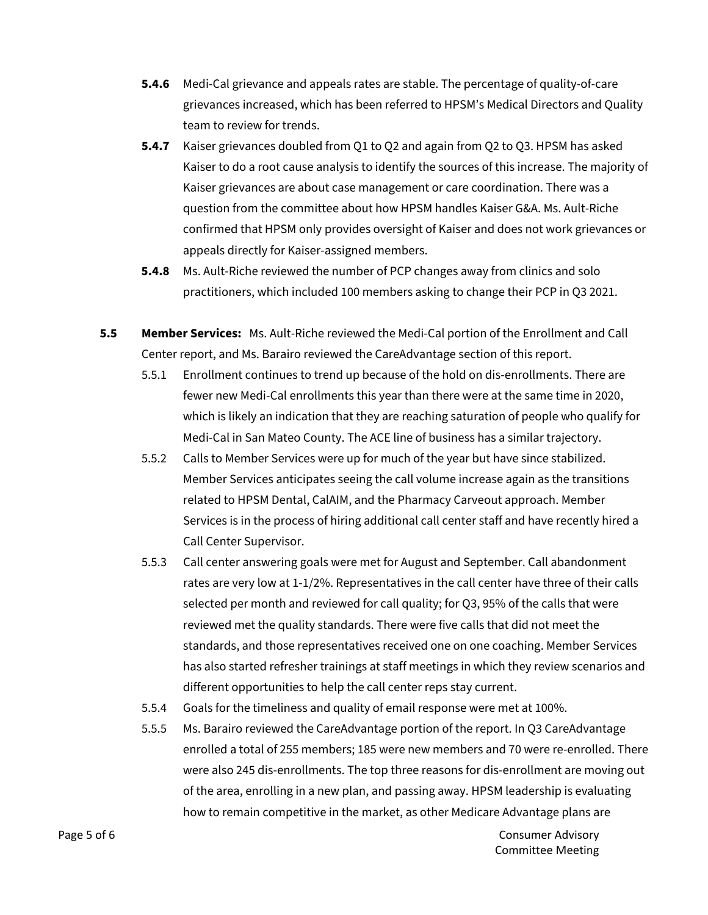- **5.4.6** Medi-Cal grievance and appeals rates are stable. The percentage of quality-of-care grievances increased, which has been referred to HPSM's Medical Directors and Quality team to review for trends.
- **5.4.7** Kaiser grievances doubled from Q1 to Q2 and again from Q2 to Q3. HPSM has asked Kaiser to do a root cause analysis to identify the sources of this increase. The majority of Kaiser grievances are about case management or care coordination. There was a question from the committee about how HPSM handles Kaiser G&A. Ms. Ault-Riche confirmed that HPSM only provides oversight of Kaiser and does not work grievances or appeals directly for Kaiser-assigned members.
- **5.4.8** Ms. Ault-Riche reviewed the number of PCP changes away from clinics and solo practitioners, which included 100 members asking to change their PCP in Q3 2021.
- **5.5 Member Services:** Ms. Ault-Riche reviewed the Medi-Cal portion of the Enrollment and Call Center report, and Ms. Barairo reviewed the CareAdvantage section of this report.
	- 5.5.1 Enrollment continues to trend up because of the hold on dis-enrollments. There are fewer new Medi-Cal enrollments this year than there were at the same time in 2020, which is likely an indication that they are reaching saturation of people who qualify for Medi-Cal in San Mateo County. The ACE line of business has a similar trajectory.
	- 5.5.2 Calls to Member Services were up for much of the year but have since stabilized. Member Services anticipates seeing the call volume increase again as the transitions related to HPSM Dental, CalAIM, and the Pharmacy Carveout approach. Member Services is in the process of hiring additional call center staff and have recently hired a Call Center Supervisor.
	- 5.5.3 Call center answering goals were met for August and September. Call abandonment rates are very low at 1-1/2%. Representatives in the call center have three of their calls selected per month and reviewed for call quality; for Q3, 95% of the calls that were reviewed met the quality standards. There were five calls that did not meet the standards, and those representatives received one on one coaching. Member Services has also started refresher trainings at staff meetings in which they review scenarios and different opportunities to help the call center reps stay current.
	- 5.5.4 Goals for the timeliness and quality of email response were met at 100%.
	- 5.5.5 Ms. Barairo reviewed the CareAdvantage portion of the report. In Q3 CareAdvantage enrolled a total of 255 members; 185 were new members and 70 were re-enrolled. There were also 245 dis-enrollments. The top three reasons for dis-enrollment are moving out of the area, enrolling in a new plan, and passing away. HPSM leadership is evaluating how to remain competitive in the market, as other Medicare Advantage plans are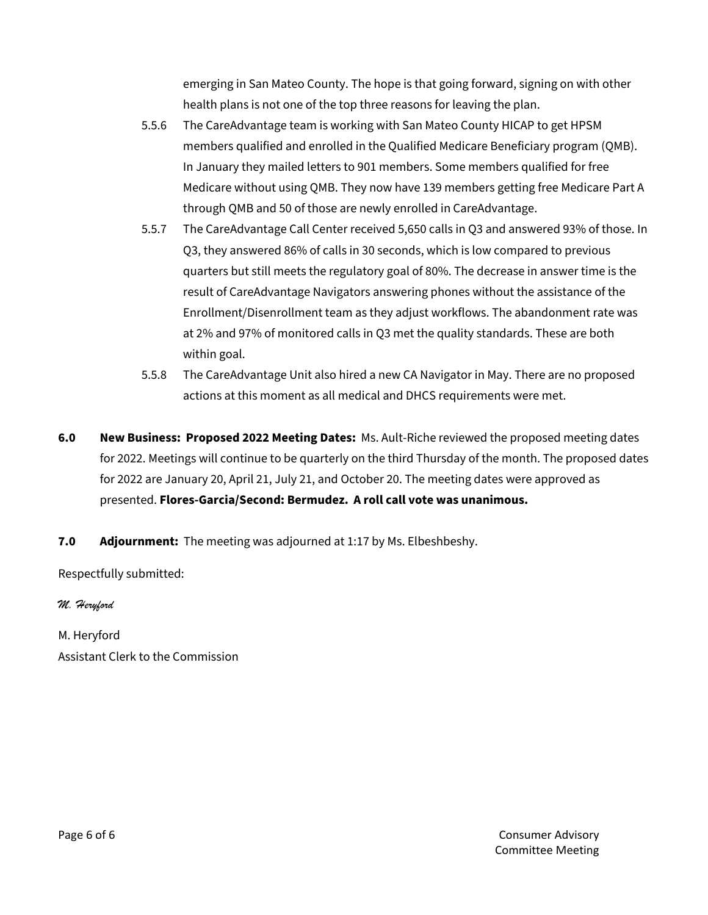emerging in San Mateo County. The hope is that going forward, signing on with other health plans is not one of the top three reasons for leaving the plan.

- 5.5.6 The CareAdvantage team is working with San Mateo County HICAP to get HPSM members qualified and enrolled in the Qualified Medicare Beneficiary program (QMB). In January they mailed letters to 901 members. Some members qualified for free Medicare without using QMB. They now have 139 members getting free Medicare Part A through QMB and 50 of those are newly enrolled in CareAdvantage.
- 5.5.7 The CareAdvantage Call Center received 5,650 calls in Q3 and answered 93% of those. In Q3, they answered 86% of calls in 30 seconds, which is low compared to previous quarters but still meets the regulatory goal of 80%. The decrease in answer time is the result of CareAdvantage Navigators answering phones without the assistance of the Enrollment/Disenrollment team as they adjust workflows. The abandonment rate was at 2% and 97% of monitored calls in Q3 met the quality standards. These are both within goal.
- 5.5.8 The CareAdvantage Unit also hired a new CA Navigator in May. There are no proposed actions at this moment as all medical and DHCS requirements were met.
- **6.0 New Business: Proposed 2022 Meeting Dates:** Ms. Ault-Riche reviewed the proposed meeting dates for 2022. Meetings will continue to be quarterly on the third Thursday of the month. The proposed dates for 2022 are January 20, April 21, July 21, and October 20. The meeting dates were approved as presented. **Flores-Garcia/Second: Bermudez. A roll call vote was unanimous.**
- **7.0 Adjournment:** The meeting was adjourned at 1:17 by Ms. Elbeshbeshy.

Respectfully submitted:

*M. Heryford*

M. Heryford Assistant Clerk to the Commission